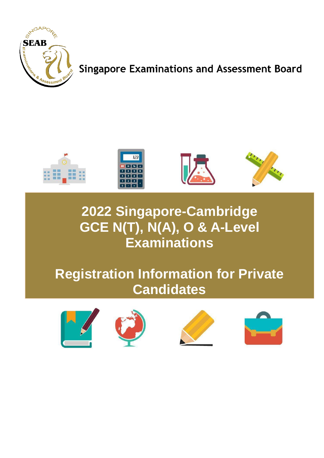

**Singapore Examinations and Assessment Board** 



# **2022 Singapore-Cambridge GCE N(T), N(A), O & A-Level Examinations**

# **Registration Information for Private Candidates**







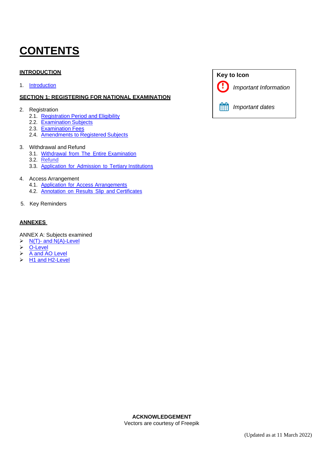# <span id="page-1-0"></span>**CONTENTS**

#### **INTRODUCTION**

1. [Introduction](#page-2-0)

#### **SECTION 1: REGISTERING FOR NATIONAL EXAMINATION**

- 2. Registration
	- 2.1. [Registration Period](#page-3-0) and Eligibility
	- 2.2. [Examination](#page-3-1) Subjects
	- 2.3. [Examination](#page-4-0) Fees
	- 2.4. [Amendments](#page-6-0) to Registered Subjects

#### 3. Withdrawal and Refund

- 3.1. Withdrawal from The Entire [Examination](#page-6-1)
- 3.2. [Refund](#page-7-0)
- 3.3. [Application](#page-7-1) for Admission to Tertiary Institutions

#### 4. Access Arrangement

- 4.1. Application for Access [Arrangements](#page-7-2)
- 4.2. Annotation on Results Slip and [Certificates](#page-8-0)
- 5. Key Reminders

#### **ANNEXES**

#### ANNEX A: Subjects examined

- $\triangleright$  N(T)- and [N\(A\)-Level](#page-9-0)
- ➢ [O-Level](#page-12-0)
- ➢ A [and AO](#page-16-0) Level
- ➢ H1 and [H2-Level](#page-17-0)

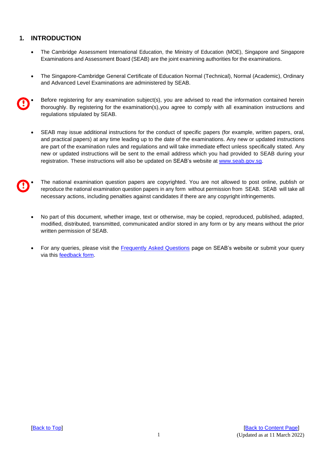#### <span id="page-2-0"></span>**1. INTRODUCTION**

- The Cambridge Assessment International Education, the Ministry of Education (MOE), Singapore and Singapore Examinations and Assessment Board (SEAB) are the joint examining authorities for the examinations.
- The Singapore-Cambridge General Certificate of Education Normal (Technical), Normal (Academic), Ordinary and Advanced Level Examinations are administered by SEAB.
- Before registering for any examination subject(s), you are advised to read the information contained herein thoroughly. By registering for the examination(s),you agree to comply with all examination instructions and regulations stipulated by SEAB.
	- SEAB may issue additional instructions for the conduct of specific papers (for example, written papers, oral, and practical papers) at any time leading up to the date of the examinations. Any new or updated instructions are part of the examination rules and regulations and will take immediate effect unless specifically stated. Any new or updated instructions will be sent to the email address which you had provided to SEAB during your registration. These instructions will also be updated on SEAB's website at [www.seab.gov.sg.](http://www.seab.gov.sg/)
- The national examination question papers are copyrighted. You are not allowed to post online, publish or reproduce the national examination question papers in any form without permission from SEAB. SEAB will take all necessary actions, including penalties against candidates if there are any copyright infringements.
	- No part of this document, whether image, text or otherwise, may be copied, reproduced, published, adapted, modified, distributed, transmitted, communicated and/or stored in any form or by any means without the prior written permission of SEAB.
	- For any queries, please visit the [Frequently Asked Questions](https://www.seab.gov.sg/home/seab-web/faqs) page on SEAB's website or submit your query via this [feedback](https://form.gov.sg/#!/5dc02f345f93b5001904159d) form.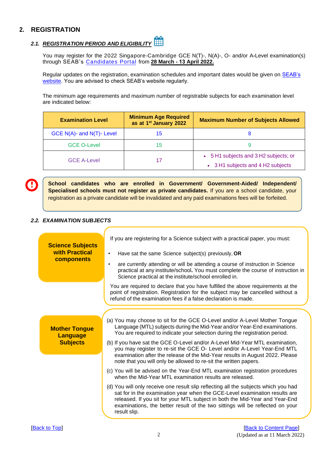#### **2. REGISTRATION**

# <span id="page-3-0"></span>*2.1. [REGISTRATION](#page-3-0) PERIOD AND ELIGIBILITY*

You may register for the 2022 Singapore-Cambridge GCE N(T)-, N(A)-, O- and/or A**-**Level examination(s) through SEAB's [Candidates Portal](https://myexams.seab.gov.sg/auth/login) from **28 March - 13 April 2022.**

Regular updates on the registration, examination schedules and important dates would be given on [SEAB's](http://www.seab.gov.sg/) [website.](http://www.seab.gov.sg/) You are advised to check SEAB's website regularly.

The minimum age requirements and maximum number of registrable subjects for each examination level are indicated below:

| <b>Examination Level</b>  | <b>Minimum Age Required</b><br>as at 1 <sup>st</sup> January 2022 | <b>Maximum Number of Subjects Allowed</b> |  |  |
|---------------------------|-------------------------------------------------------------------|-------------------------------------------|--|--|
| GCE N(A)- and N(T)- Level | 15                                                                |                                           |  |  |
| <b>GCE O-Level</b>        | 15                                                                |                                           |  |  |
| <b>GCE A-Level</b>        |                                                                   | • 5 H1 subjects and 3 H2 subjects; or     |  |  |
|                           |                                                                   | • 3 H1 subjects and 4 H2 subjects         |  |  |

**School candidates who are enrolled in Government/ Government-Aided/ Independent/ Specialised schools must not register as private candidates.** If you are a school candidate, your registration as a private candidate will be invalidated and any paid examinations fees will be forfeited.

#### <span id="page-3-1"></span>*2.2. EXAMINATION SUBJECTS*

| <b>Science Subjects</b><br>with Practical<br><b>components</b> | If you are registering for a Science subject with a practical paper, you must:<br>Have sat the same Science subject(s) previously, OR<br>$\bullet$<br>are currently attending or will be attending a course of instruction in Science<br>$\bullet$<br>practical at any institute/school. You must complete the course of instruction in<br>Science practical at the institute/school enrolled in.                                                                                                                                                     |
|----------------------------------------------------------------|-------------------------------------------------------------------------------------------------------------------------------------------------------------------------------------------------------------------------------------------------------------------------------------------------------------------------------------------------------------------------------------------------------------------------------------------------------------------------------------------------------------------------------------------------------|
|                                                                | You are required to declare that you have fulfilled the above requirements at the<br>point of registration. Registration for the subject may be cancelled without a<br>refund of the examination fees if a false declaration is made.                                                                                                                                                                                                                                                                                                                 |
|                                                                |                                                                                                                                                                                                                                                                                                                                                                                                                                                                                                                                                       |
| <b>Mother Tongue</b><br><b>Language</b><br><b>Subjects</b>     | (a) You may choose to sit for the GCE O-Level and/or A-Level Mother Tongue<br>Language (MTL) subjects during the Mid-Year and/or Year-End examinations.<br>You are required to indicate your selection during the registration period.<br>(b) If you have sat the GCE O-Level and/or A-Level Mid-Year MTL examination,<br>you may register to re-sit the GCE O- Level and/or A-Level Year-End MTL<br>examination after the release of the Mid-Year results in August 2022. Please<br>note that you will only be allowed to re-sit the written papers. |
|                                                                | (c) You will be advised on the Year-End MTL examination registration procedures<br>when the Mid-Year MTL examination results are released.                                                                                                                                                                                                                                                                                                                                                                                                            |
|                                                                | (d) You will only receive one result slip reflecting all the subjects which you had<br>sat for in the examination year when the GCE-Level examination results are<br>released. If you sit for your MTL subject in both the Mid-Year and Year-End<br>examinations, the better result of the two sittings will be reflected on your<br>result slip.                                                                                                                                                                                                     |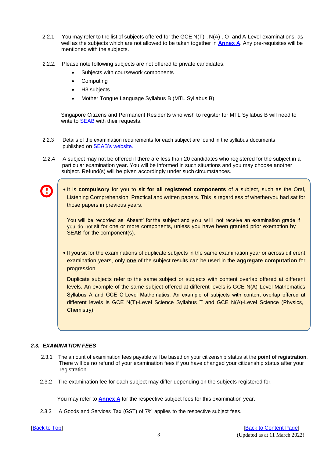- 2.2.1 You may refer to the list of subjects offered for the GCE N(T)-, N(A)-, O- and A-Level examinations, as well as the subjects which are not allowed to be taken together in **[Annex](#page-9-0) A**. [A](#page-9-0)ny pre-requisites will be mentioned with the subjects.
- 2.2.2. Please note following subjects are not offered to private candidates.
	- Subjects with coursework components
	- **Computing**
	- H<sub>3</sub> subjects
	- Mother Tongue Language Syllabus B (MTL Syllabus B)

 Singapore Citizens and Permanent Residents who wish to register for MTL Syllabus B will need to write to **SEAB** with their requests.

- 2.2.3 Details of the examination requirements for each subject are found in the syllabus documents published on [SEAB's website.](https://www.seab.gov.sg/)
- 2.2.4 A subject may not be offered if there are less than 20 candidates who registered for the subject in a particular examination year. You will be informed in such situations and you may choose another subject. Refund(s) will be given accordingly under such circumstances.
	- It is **compulsory** for you to **sit for all registered components** of a subject, such as the Oral, Listening Comprehension, Practical and written papers. This is regardless of whetheryou had sat for those papers in previous years.

You will be recorded as 'Absent' for the subject and you will not receive an examination grade if you do not sit for one or more components, unless you have been granted prior exemption by SEAB for the component(s).

**.** If you sit for the examinations of duplicate subjects in the same examination year or across different examination years, only **one** of the subject results can be used in the **aggregate computation** for progression

<span id="page-4-0"></span>Duplicate subjects refer to the same subject or subjects with content overlap offered at different levels. An example of the same subject offered at different levels is GCE N(A)-Level Mathematics Syllabus A and GCE O-Level Mathematics. An example of subjects with content overlap offered at different levels is GCE N(T)-Level Science Syllabus T and GCE N(A)-Level Science (Physics, Chemistry).

#### <span id="page-4-1"></span>*2.3. EXAMINATION FEES*

- 2.3.1 The amount of examination fees payable will be based on your citizenship status at the **point of registration**. There will be no refund of your examination fees if you have changed your citizenship status after your registration.
- 2.3.2 The examination fee for each subject may differ depending on the subjects registered for.

You may refer to **[Annex A](#page-9-0)** for the respective subject fees for this examination year.

2.3.3 A Goods and Services Tax (GST) of 7% applies to the respective subject fees.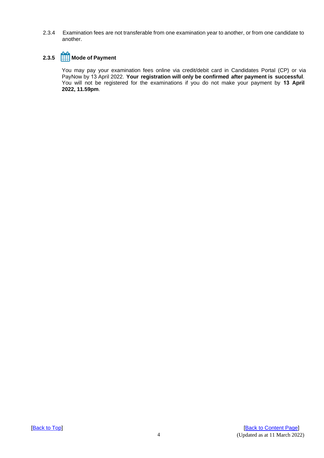2.3.4 Examination fees are not transferable from one examination year to another, or from one candidate to another.

### **2.3.5 Mode of Payment**

You may pay your examination fees online via credit/debit card in Candidates Portal (CP) or via PayNow by 13 April 2022. **Your registration will only be confirmed after payment is successful**. You will not be registered for the examinations if you do not make your payment by **13 April 2022, 11.59pm**.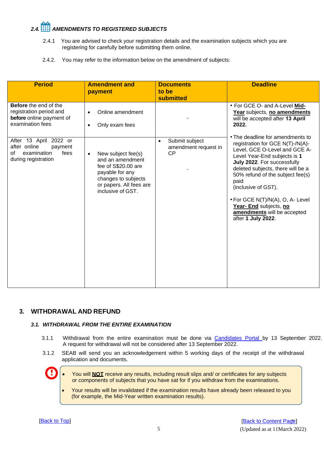# <span id="page-6-0"></span>*2.4. AMENDMENTS TO REGISTERED SUBJECTS*

- 2.4.1 You are advised to check your registration details and the examination subjects which you are registering for carefully before submitting them online.
- 2.4.2. You may refer to the information below on the amendment of subjects:

| <b>Period</b>                                                                                           | <b>Amendment and</b><br>payment                                                                                                                                      | <b>Documents</b><br>to be<br><b>submitted</b>                    | <b>Deadline</b>                                                                                                                                                                                                                                                                                                                                                                                 |
|---------------------------------------------------------------------------------------------------------|----------------------------------------------------------------------------------------------------------------------------------------------------------------------|------------------------------------------------------------------|-------------------------------------------------------------------------------------------------------------------------------------------------------------------------------------------------------------------------------------------------------------------------------------------------------------------------------------------------------------------------------------------------|
| <b>Before</b> the end of the<br>registration period and<br>before online payment of<br>examination fees | Online amendment<br>$\bullet$<br>Only exam fees<br>$\bullet$                                                                                                         |                                                                  | • For GCE O- and A-Level Mid-<br>Year subjects, no amendments<br>will be accepted after 13 April<br>2022.                                                                                                                                                                                                                                                                                       |
| After 13 April 2022 or<br>after online<br>payment<br>examination<br>fees<br>of<br>during registration   | New subject fee(s)<br>$\bullet$<br>and an amendment<br>fee of S\$20.00 are<br>payable for any<br>changes to subjects<br>or papers. All fees are<br>inclusive of GST. | Submit subject<br>$\bullet$<br>amendment request in<br><b>CP</b> | • The deadline for amendments to<br>registration for GCE N(T)-/N(A)-<br>Level, GCE O-Level and GCE A-<br>Level Year-End subjects is 1<br>July 2022. For successfully<br>deleted subjects, there will be a<br>50% refund of the subject fee(s)<br>paid<br>(inclusive of GST).<br>• For GCE N(T)/N(A), O, A- Level<br>Year- End subjects, no<br>amendments will be accepted<br>after 1 July 2022. |

#### <span id="page-6-1"></span>**3. WITHDRAWAL AND REFUND**

#### *3.1. WITHDRAWAL FROM THE ENTIRE EXAMINATION*

- 3.1.1 Withdrawal from the entire examination must be done via **[Candidates Portal](https://myexams.seab.gov.sg/auth/login) by 13 September 2022**. A request for withdrawal will not be considered after 13 September 2022.
- 3.1.2 SEAB will send you an acknowledgement within 5 working days of the receipt of the withdrawal application and documents.
	- You will **NOT** receive any results, including result slips and/ or certificates for any subjects or components of subjects that you have sat for if you withdraw from the examinations.
		- Your results will be invalidated if the examination results have already been released to you (for example, the Mid-Year written examination results).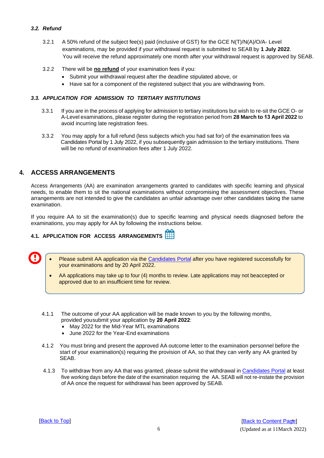#### <span id="page-7-0"></span>*3.2. Refund*

- 3.2.1 A 50% refund of the subject fee(s) paid (inclusive of GST) for the GCE N(T)/N(A)/O/A- Level examinations, may be provided if your withdrawal request is submitted to SEAB by **1 July 2022**. You will receive the refund approximately one month after your withdrawal request is approved by SEAB.
- 3.2.2 There will be **no refund** of your examination fees if you:
	- Submit your withdrawal request after the deadline stipulated above, or
	- Have sat for a component of the registered subject that you are withdrawing from.

#### <span id="page-7-1"></span>*3.3. APPLICATION FOR ADMISSION TO TERTIARY INSTITUTIONS*

- 3.3.1 If you are in the process of applying for admission to tertiary institutions but wish to re-sit the GCE O- or A-Level examinations, please register during the registration period from **28 March to 13 April 2022** to avoid incurring late registration fees.
- 3.3.2 You may apply for a full refund (less subjects which you had sat for) of the examination fees via Candidates Portal by 1 July 2022, if you subsequently gain admission to the tertiary institutions. There will be no refund of examination fees after 1 July 2022.

#### **4. ACCESS ARRANGEMENTS**

Access Arrangements (AA) are examination arrangements granted to candidates with specific learning and physical needs, to enable them to sit the national examinations without compromising the assessment objectives. These arrangements are not intended to give the candidates an unfair advantage over other candidates taking the same examination.

If you require AA to sit the examination(s) due to specific learning and physical needs diagnosed before the examinations, you may apply for AA by following the instructions below.

#### <span id="page-7-2"></span>**4.1. APPLICATION FOR ACCESS ARRANGEMENTS**

- Please submit AA application via the [Candidates Portal](https://myexams.seab.gov.sg/auth/login) after you have registered successfully for your examinations and by 20 April 2022.
	- AA applications may take up to four (4) months to review. Late applications may not be accepted or approved due to an insufficient time for review.
- 4.1.1 The outcome of your AA application will be made known to you by the following months, provided you submit your application by **20 April 2022**:
	- May 2022 for the Mid-Year MTL examinations
	- June 2022 for the Year-End examinations
- 4.1.2 You must bring and present the approved AA outcome letter to the examination personnel before the start of your examination(s) requiring the provision of AA, so that they can verify any AA granted by SEAB.
- 4.1.3 To withdraw from any AA that was granted, please submit the withdrawal in [Candidates Portal](https://myexams.seab.gov.sg/auth/login) at least five working days before the date of the examination requiring the AA. SEAB will not re-instate the provision of AA once the request for withdrawal has been approved by SEAB.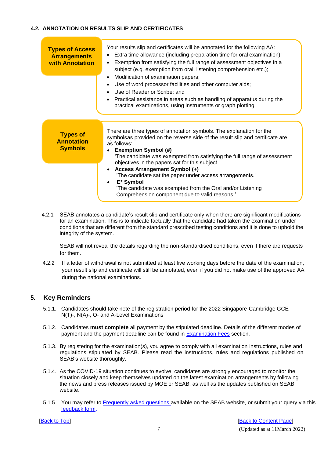#### <span id="page-8-0"></span>**4.2. ANNOTATION ON RESULTS SLIP AND CERTIFICATES**

| <b>Types of Access</b><br><b>Arrangements</b><br><b>with Annotation</b> | Your results slip and certificates will be annotated for the following AA:<br>Extra time allowance (including preparation time for oral examination);<br>Exemption from satisfying the full range of assessment objectives in a<br>subject (e.g. exemption from oral, listening comprehension etc.);<br>Modification of examination papers;<br>• Use of word processor facilities and other computer aids;<br>• Use of Reader or Scribe; and<br>Practical assistance in areas such as handling of apparatus during the<br>practical examinations, using instruments or graph plotting. |
|-------------------------------------------------------------------------|----------------------------------------------------------------------------------------------------------------------------------------------------------------------------------------------------------------------------------------------------------------------------------------------------------------------------------------------------------------------------------------------------------------------------------------------------------------------------------------------------------------------------------------------------------------------------------------|
| <b>Types of</b><br><b>Annotation</b><br><b>Symbols</b>                  | There are three types of annotation symbols. The explanation for the<br>symbolsas provided on the reverse side of the result slip and certificate are<br>as follows:<br><b>Exemption Symbol (#)</b><br>The candidate was exempted from satisfying the full range of assessment<br>objectives in the papers sat for this subject.'<br>• Access Arrangement Symbol (+)                                                                                                                                                                                                                   |
|                                                                         | 'The candidate sat the paper under access arrangements.'<br>$\bullet$ E <sup>*</sup> Symbol<br>'The candidate was exempted from the Oral and/or Listening<br>Comprehension component due to valid reasons.'                                                                                                                                                                                                                                                                                                                                                                            |

4.2.1 SEAB annotates a candidate's result slip and certificate only when there are significant modifications for an examination. This is to indicate factually that the candidate had taken the examination under conditions that are different from the standard prescribed testing conditions and it is done to uphold the integrity of the system.

SEAB will not reveal the details regarding the non-standardised conditions, even if there are requests for them.

4.2.2 If a letter of withdrawal is not submitted at least five working days before the date of the examination, your result slip and certificate will still be annotated, even if you did not make use of the approved AA during the national examinations.

#### **5. Key Reminders**

- 5.1.1. Candidates should take note of the registration period for the 2022 Singapore-Cambridge GCE N(T)-, N(A)-, O- and A-Level Examinations
- 5.1.2. Candidates **must complete** all payment by the stipulated deadline. Details of the different modes of payment and the payment deadline can be found in **[Examination](#page-4-1) Fees** section.
- 5.1.3. By registering for the examination(s), you agree to comply with all examination instructions, rules and regulations stipulated by SEAB. Please read the instructions, rules and regulations published on SEAB's website thoroughly.
- 5.1.4. As the COVID-19 situation continues to evolve, candidates are strongly encouraged to monitor the situation closely and keep themselves updated on the latest examination arrangements by following the news and press releases issued by MOE or SEAB, as well as the updates published on SEAB website.
- 5.1.5. You may refer to [Frequently asked questions a](http://www.ifaq.gov.sg/seab)vailable on the SEAB website, or submit your query via this [feedback](https://form.gov.sg/#!/5dc02f345f93b5001904159d) form.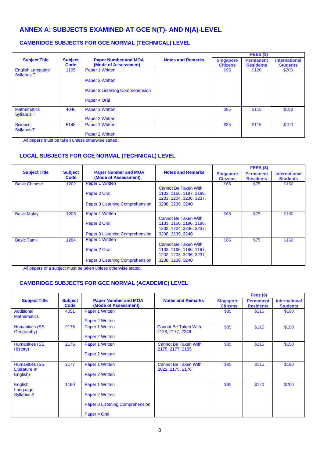### <span id="page-9-0"></span>**ANNEX A: SUBJECTS EXAMINED AT GCE N(T)- AND N(A)-LEVEL**

#### **CAMBRIDGE SUBJECTS FOR GCE NORMAL (TECHNICAL) LEVEL**

|                                              |                        |                                                     |                          |                                     | FEES (\$)                            |                                         |
|----------------------------------------------|------------------------|-----------------------------------------------------|--------------------------|-------------------------------------|--------------------------------------|-----------------------------------------|
| <b>Subject Title</b>                         | <b>Subject</b><br>Code | <b>Paper Number and MOA</b><br>(Mode of Assessment) | <b>Notes and Remarks</b> | <b>Singapore</b><br><b>Citizens</b> | <b>Permanent</b><br><b>Residents</b> | <b>International</b><br><b>Students</b> |
| <b>English Language</b><br><b>Syllabus T</b> | 1195                   | Paper 1 Written                                     |                          | \$95                                | \$120                                | \$200                                   |
|                                              |                        | Paper 2 Written                                     |                          |                                     |                                      |                                         |
|                                              |                        | Paper 3 Listening Comprehension                     |                          |                                     |                                      |                                         |
|                                              |                        | Paper 4 Oral                                        |                          |                                     |                                      |                                         |
| <b>Mathematics</b><br><b>Syllabus T</b>      | 4046                   | Paper 1 Written                                     |                          | \$85                                | \$115                                | \$190                                   |
|                                              |                        | Paper 2 Written                                     |                          |                                     |                                      |                                         |
| <b>Science</b><br><b>Syllabus T</b>          | 5148                   | Paper 1 Written                                     |                          | \$85                                | \$115                                | \$190                                   |
|                                              |                        | Paper 2 Written                                     |                          |                                     |                                      |                                         |

All papers must be taken unless otherwise stated.

#### **LOCAL SUBJECTS FOR GCE NORMAL (TECHNICAL) LEVEL**

|                      |                        | <b>Paper Number and MOA</b><br>(Mode of Assessment) |                                                        | FEES (\$)                           |                                      |                                         |
|----------------------|------------------------|-----------------------------------------------------|--------------------------------------------------------|-------------------------------------|--------------------------------------|-----------------------------------------|
| <b>Subject Title</b> | <b>Subject</b><br>Code |                                                     | <b>Notes and Remarks</b>                               | <b>Singapore</b><br><b>Citizens</b> | <b>Permanent</b><br><b>Residents</b> | <b>International</b><br><b>Students</b> |
| <b>Basic Chinese</b> | 1202                   | <b>Paper 1 Written</b><br>Paper 2 Oral              | <b>Cannot Be Taken With</b><br>1133, 1166, 1197, 1198, | \$65                                | \$75                                 | \$160                                   |
|                      |                        |                                                     | 1203, 1204, 3236, 3237,                                |                                     |                                      |                                         |
|                      |                        | Paper 3 Listening Comprehension                     | 3238, 3239, 3240                                       |                                     |                                      |                                         |
| <b>Basic Malay</b>   | 1203                   | <b>Paper 1 Written</b>                              | Cannot Be Taken With                                   | \$65                                | \$75                                 | \$160                                   |
|                      |                        | Paper 2 Oral                                        | 1133, 1166, 1196, 1198,<br>1202, 1204, 3236, 3237,     |                                     |                                      |                                         |
|                      |                        | Paper 3 Listening Comprehension                     | 3238, 3239, 3240                                       |                                     |                                      |                                         |
| <b>Basic Tamil</b>   | 1204                   | Paper 1 Written                                     | Cannot Be Taken With                                   | \$65                                | \$75                                 | \$160                                   |
|                      |                        | Paper 2 Oral                                        | 1133, 1166, 1196, 1197,<br>1202, 1203, 3236, 3237,     |                                     |                                      |                                         |
|                      |                        | Paper 3 Listening Comprehension                     | 3238, 3239, 3240                                       |                                     |                                      |                                         |

All papers of a subject must be taken unless otherwise stated.

#### **CAMBRIDGE SUBJECTS FOR GCE NORMAL (ACADEMIC) LEVEL**

|                                  |                        |                                                     |                                                 |                                     | Fees $($)$                           |                                         |
|----------------------------------|------------------------|-----------------------------------------------------|-------------------------------------------------|-------------------------------------|--------------------------------------|-----------------------------------------|
| <b>Subject Title</b>             | <b>Subject</b><br>Code | <b>Paper Number and MOA</b><br>(Mode of Assessment) | <b>Notes and Remarks</b>                        | <b>Singapore</b><br><b>Citizens</b> | <b>Permanent</b><br><b>Residents</b> | <b>International</b><br><b>Students</b> |
| Additional<br><b>Mathematics</b> | 4051                   | Paper 1 Written                                     |                                                 | \$85                                | \$115                                | \$190                                   |
|                                  |                        | Paper 2 Written                                     |                                                 |                                     |                                      |                                         |
| Humanities (SS,<br>Geography)    | 2175                   | Paper 1 Written                                     | <b>Cannot Be Taken With</b><br>2176, 2177, 2246 | \$85                                | \$115                                | \$190                                   |
|                                  |                        | Paper 2 Written                                     |                                                 |                                     |                                      |                                         |
| Humanities (SS,<br>History)      | 2176                   | Paper 1 Written                                     | <b>Cannot Be Taken With</b><br>2175, 2177, 2195 | \$85                                | \$115                                | \$190                                   |
|                                  |                        | Paper 2 Written                                     |                                                 |                                     |                                      |                                         |
| Humanities (SS,<br>Literature In | 2177                   | Paper 1 Written                                     | <b>Cannot Be Taken With</b><br>2022, 2175, 2176 | \$85                                | \$115                                | \$190                                   |
| English)                         |                        | Paper 2 Written                                     |                                                 |                                     |                                      |                                         |
| English<br>Language              | 1190                   | Paper 1 Written                                     |                                                 | \$95                                | \$120                                | \$200                                   |
| <b>Syllabus A</b>                |                        | Paper 2 Written                                     |                                                 |                                     |                                      |                                         |
|                                  |                        | Paper 3 Listening Comprehension                     |                                                 |                                     |                                      |                                         |
|                                  |                        | Paper 4 Oral                                        |                                                 |                                     |                                      |                                         |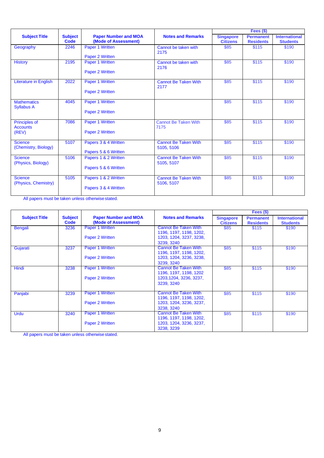|                                         |                        | <b>Paper Number and MOA</b><br>(Mode of Assessment) |                                           | Fees $($ \$)                        |                                      |                                         |
|-----------------------------------------|------------------------|-----------------------------------------------------|-------------------------------------------|-------------------------------------|--------------------------------------|-----------------------------------------|
| <b>Subject Title</b>                    | <b>Subject</b><br>Code |                                                     | <b>Notes and Remarks</b>                  | <b>Singapore</b><br><b>Citizens</b> | <b>Permanent</b><br><b>Residents</b> | <b>International</b><br><b>Students</b> |
| Geography                               | 2246                   | Paper 1 Written<br>Paper 2 Written                  | Cannot be taken with<br>2175              | \$85                                | \$115                                | \$190                                   |
|                                         |                        |                                                     |                                           |                                     |                                      |                                         |
| <b>History</b>                          | 2195                   | Paper 1 Written                                     | Cannot be taken with<br>2176              | \$85                                | \$115                                | \$190                                   |
|                                         |                        | Paper 2 Written                                     |                                           |                                     |                                      |                                         |
| <b>Literature in English</b>            | 2022                   | Paper 1 Written                                     | <b>Cannot Be Taken With</b><br>2177       | \$85                                | \$115                                | \$190                                   |
|                                         |                        | Paper 2 Written                                     |                                           |                                     |                                      |                                         |
| <b>Mathematics</b><br><b>Syllabus A</b> | 4045                   | Paper 1 Written                                     |                                           | \$85                                | \$115                                | \$190                                   |
|                                         |                        | Paper 2 Written                                     |                                           |                                     |                                      |                                         |
| <b>Principles of</b><br><b>Accounts</b> | 7086                   | Paper 1 Written                                     | <b>Cannot Be Taken With</b><br>7175       | \$85                                | \$115                                | \$190                                   |
| (REV)                                   |                        | Paper 2 Written                                     |                                           |                                     |                                      |                                         |
| <b>Science</b><br>(Chemistry, Biology)  | 5107                   | Papers 3 & 4 Written                                | <b>Cannot Be Taken With</b><br>5105, 5106 | \$85                                | \$115                                | \$190                                   |
|                                         |                        | Papers 5 & 6 Written                                |                                           |                                     |                                      |                                         |
| <b>Science</b><br>(Physics, Biology)    | 5106                   | Papers 1 & 2 Written                                | <b>Cannot Be Taken With</b><br>5105, 5107 | \$85                                | \$115                                | \$190                                   |
|                                         |                        | Papers 5 & 6 Written                                |                                           |                                     |                                      |                                         |
| <b>Science</b><br>(Physics, Chemistry)  | 5105                   | Papers 1 & 2 Written                                | <b>Cannot Be Taken With</b><br>5106, 5107 | \$85                                | \$115                                | \$190                                   |
|                                         |                        | Papers 3 & 4 Written                                |                                           |                                     |                                      |                                         |

|                      |                        | <b>Paper Number and MOA</b><br>(Mode of Assessment) |                                                                  | Fees $($ \$)                        |                                      |                                         |
|----------------------|------------------------|-----------------------------------------------------|------------------------------------------------------------------|-------------------------------------|--------------------------------------|-----------------------------------------|
| <b>Subject Title</b> | <b>Subject</b><br>Code |                                                     | <b>Notes and Remarks</b>                                         | <b>Singapore</b><br><b>Citizens</b> | <b>Permanent</b><br><b>Residents</b> | <b>International</b><br><b>Students</b> |
| <b>Bengali</b>       | 3236                   | <b>Paper 1 Written</b>                              | <b>Cannot Be Taken With</b><br>1196, 1197, 1198, 1202,           | \$85                                | \$115                                | \$190                                   |
|                      |                        | Paper 2 Written                                     | 1203, 1204, 3237, 3238,<br>3239.3240                             |                                     |                                      |                                         |
| Gujarati             | 3237                   | <b>Paper 1 Written</b>                              | <b>Cannot Be Taken With</b>                                      | \$85                                | \$115                                | \$190                                   |
|                      |                        | Paper 2 Written                                     | 1196, 1197, 1198, 1202,<br>1203, 1204, 3236, 3238,<br>3239, 3240 |                                     |                                      |                                         |
| Hindi                | 3238                   | Paper 1 Written                                     | Cannot Be Taken With<br>1196, 1197, 1198, 1202                   | \$85                                | \$115                                | \$190                                   |
|                      |                        | Paper 2 Written                                     | 1203, 1204, 3236, 3237,<br>3239, 3240                            |                                     |                                      |                                         |
| Panjabi              | 3239                   | <b>Paper 1 Written</b>                              | Cannot Be Taken With<br>1196, 1197, 1198, 1202,                  | \$85                                | \$115                                | \$190                                   |
|                      |                        | Paper 2 Written                                     | 1203, 1204, 3236, 3237,<br>3238, 3240                            |                                     |                                      |                                         |
| <b>Urdu</b>          | 3240                   | <b>Paper 1 Written</b>                              | <b>Cannot Be Taken With</b><br>1196, 1197, 1198, 1202,           | \$85                                | \$115                                | \$190                                   |
|                      |                        | Paper 2 Written                                     | 1203, 1204, 3236, 3237,<br>3238, 3239                            |                                     |                                      |                                         |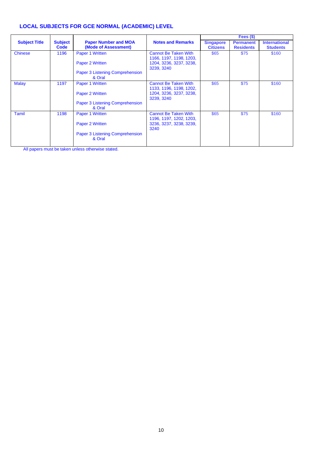#### **LOCAL SUBJECTS FOR GCE NORMAL (ACADEMIC) LEVEL**

| <b>Subject Title</b> | <b>Subject</b><br><b>Code</b> | <b>Paper Number and MOA</b><br>(Mode of Assessment)                             | <b>Notes and Remarks</b>                                                                        | <b>Singapore</b><br><b>Citizens</b> | <b>Permanent</b><br><b>Residents</b> | <b>International</b><br><b>Students</b> |
|----------------------|-------------------------------|---------------------------------------------------------------------------------|-------------------------------------------------------------------------------------------------|-------------------------------------|--------------------------------------|-----------------------------------------|
| <b>Chinese</b>       | 1196                          | Paper 1 Written<br>Paper 2 Written<br>Paper 3 Listening Comprehension           | <b>Cannot Be Taken With</b><br>1166, 1197, 1198, 1203,<br>1204, 3236, 3237, 3238,<br>3239, 3240 | \$65                                | \$75                                 | \$160                                   |
|                      |                               | & Oral                                                                          |                                                                                                 |                                     |                                      |                                         |
| <b>Malay</b>         | 1197                          | Paper 1 Written<br>Paper 2 Written<br>Paper 3 Listening Comprehension<br>& Oral | <b>Cannot Be Taken With</b><br>1133, 1196, 1198, 1202,<br>1204, 3236, 3237, 3238,<br>3239, 3240 | \$65                                | \$75                                 | \$160                                   |
| Tamil                | 1198                          | Paper 1 Written<br>Paper 2 Written<br>Paper 3 Listening Comprehension<br>& Oral | <b>Cannot Be Taken With</b><br>1196, 1197, 1202, 1203,<br>3236, 3237, 3238, 3239,<br>3240       | \$65                                | \$75                                 | \$160                                   |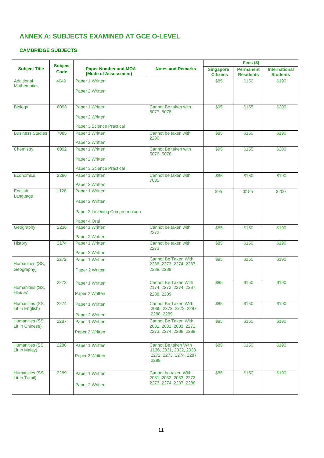### <span id="page-12-0"></span>**ANNEX A: SUBJECTS EXAMINED AT GCE O-LEVEL**

#### **CAMBRIDGE SUBJECTS**

|                                    |      | <b>Subject</b>                                      |                                                        | Fees $(\$)$                         |                                      |                                         |
|------------------------------------|------|-----------------------------------------------------|--------------------------------------------------------|-------------------------------------|--------------------------------------|-----------------------------------------|
| <b>Subject Title</b>               | Code | <b>Paper Number and MOA</b><br>(Mode of Assessment) | <b>Notes and Remarks</b>                               | <b>Singapore</b><br><b>Citizens</b> | <b>Permanent</b><br><b>Residents</b> | <b>International</b><br><b>Students</b> |
| Additional<br><b>Mathematics</b>   | 4049 | Paper 1 Written                                     |                                                        | \$85                                | \$150                                | \$190                                   |
|                                    |      | Paper 2 Written                                     |                                                        |                                     |                                      |                                         |
|                                    |      |                                                     |                                                        |                                     |                                      |                                         |
| <b>Biology</b>                     | 6093 | Paper 1 Written                                     | Cannot Be taken with                                   | \$95                                | \$155                                | \$200                                   |
|                                    |      | Paper 2 Written                                     | 5077, 5078                                             |                                     |                                      |                                         |
|                                    |      |                                                     |                                                        |                                     |                                      |                                         |
| <b>Business Studies</b>            | 7085 | Paper 3 Science Practical<br>Paper 1 Written        | Cannot be taken with                                   | \$85                                | \$150                                | \$190                                   |
|                                    |      |                                                     | 2286                                                   |                                     |                                      |                                         |
| Chemistry                          | 6092 | Paper 2 Written<br>Paper 1 Written                  | Cannot Be taken with                                   | \$95                                | \$155                                | \$200                                   |
|                                    |      |                                                     | 5076, 5078                                             |                                     |                                      |                                         |
|                                    |      | Paper 2 Written                                     |                                                        |                                     |                                      |                                         |
|                                    |      | Paper 3 Science Practical                           |                                                        |                                     |                                      |                                         |
| Economics                          | 2286 | Paper 1 Written                                     | Cannot be taken with<br>7085                           | \$85                                | \$150                                | \$190                                   |
|                                    |      | Paper 2 Written                                     |                                                        |                                     |                                      |                                         |
| English<br>Language                | 1128 | Paper 1 Written                                     |                                                        | \$95                                | \$155                                | \$200                                   |
|                                    |      | Paper 2 Written                                     |                                                        |                                     |                                      |                                         |
|                                    |      | Paper 3 Listening Comprehension                     |                                                        |                                     |                                      |                                         |
|                                    |      | Paper 4 Oral                                        |                                                        |                                     |                                      |                                         |
| Geography                          | 2236 | Paper 1 Written                                     | Cannot be taken with                                   | \$85                                | \$150                                | \$190                                   |
|                                    |      | Paper 2 Written                                     | 2272                                                   |                                     |                                      |                                         |
| <b>History</b>                     | 2174 | Paper 1 Written                                     | Cannot be taken with                                   | \$85                                | \$150                                | \$190                                   |
|                                    |      | Paper 2 Written                                     | 2273                                                   |                                     |                                      |                                         |
|                                    | 2272 | Paper 1 Written                                     | <b>Cannot Be Taken With</b>                            | \$85                                | \$150                                | \$190                                   |
| Humanities (SS,<br>Geography)      |      | Paper 2 Written                                     | 2236, 2273, 2274, 2287,<br>2288, 2289                  |                                     |                                      |                                         |
|                                    |      |                                                     |                                                        |                                     |                                      |                                         |
|                                    | 2273 | Paper 1 Written                                     | <b>Cannot Be Taken With</b>                            | \$85                                | \$150                                | \$190                                   |
| Humanities (SS,<br>History)        |      | Paper 2 Written                                     | 2174, 2272, 2274, 2287,<br>2288, 2289                  |                                     |                                      |                                         |
|                                    |      |                                                     |                                                        |                                     |                                      |                                         |
| Humanities (SS,<br>Lit In English) | 2274 | Paper 1 Written                                     | Cannot Be Taken With<br>2065, 2272, 2273, 2287,        | \$85                                | \$150                                | \$190                                   |
|                                    |      | Paper 2 Written                                     | 2288, 2289                                             |                                     |                                      |                                         |
| Humanities (SS,<br>Lit In Chinese) | 2287 | Paper 1 Written                                     | <b>Cannot Be Taken With</b><br>2031, 2032, 2033, 2272, | \$85                                | \$150                                | \$190                                   |
|                                    |      | Paper 2 Written                                     | 2273, 2274, 2288, 2289                                 |                                     |                                      |                                         |
|                                    |      |                                                     |                                                        |                                     |                                      |                                         |
| Humanities (SS,<br>Lit In Malay)   | 2288 | Paper 1 Written                                     | <b>Cannot Be taken With</b><br>1136, 2031, 2032, 2033  | \$85                                | \$150                                | \$190                                   |
|                                    |      | Paper 2 Written                                     | 2272, 2273, 2274, 2287                                 |                                     |                                      |                                         |
|                                    |      |                                                     | 2289                                                   |                                     |                                      |                                         |
| Humanities (SS,                    | 2289 | Paper 1 Written                                     | Cannot be taken With                                   | \$85                                | \$150                                | \$190                                   |
| Lit In Tamil)                      |      |                                                     | 2031, 2032, 2033, 2272,                                |                                     |                                      |                                         |
|                                    |      | Paper 2 Written                                     | 2273, 2274, 2287, 2288                                 |                                     |                                      |                                         |
|                                    |      |                                                     |                                                        |                                     |                                      |                                         |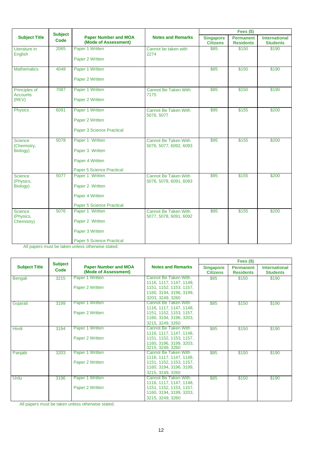|                                  | <b>Subject</b> |                                                     |                                                       |                                     | Fees $($)$                           |                                         |
|----------------------------------|----------------|-----------------------------------------------------|-------------------------------------------------------|-------------------------------------|--------------------------------------|-----------------------------------------|
| <b>Subject Title</b>             | Code           | <b>Paper Number and MOA</b><br>(Mode of Assessment) | <b>Notes and Remarks</b>                              | <b>Singapore</b><br><b>Citizens</b> | <b>Permanent</b><br><b>Residents</b> | <b>International</b><br><b>Students</b> |
| Literature in                    | 2065           | Paper 1 Written                                     | Cannot be taken with<br>2274                          | \$85                                | \$150                                | \$190                                   |
| English                          |                | Paper 2 Written                                     |                                                       |                                     |                                      |                                         |
| <b>Mathematics</b>               | 4048           | Paper 1 Written                                     |                                                       | \$85                                | \$150                                | \$190                                   |
|                                  |                | Paper 2 Written                                     |                                                       |                                     |                                      |                                         |
| Principles of<br><b>Accounts</b> | 7087           | Paper 1 Written                                     | <b>Cannot Be Taken With</b><br>7175                   | \$85                                | \$150                                | \$190                                   |
| (REV)                            |                | Paper 2 Written                                     |                                                       |                                     |                                      |                                         |
| <b>Physics</b>                   | 6091           | Paper 1 Written                                     | Cannot Be Taken With<br>5076, 5077                    | \$95                                | \$155                                | \$200                                   |
|                                  |                | Paper 2 Written                                     |                                                       |                                     |                                      |                                         |
|                                  |                | Paper 3 Science Practical                           |                                                       |                                     |                                      |                                         |
| <b>Science</b><br>(Chemistry,    | 5078           | Paper 1 Written                                     | <b>Cannot Be Taken With</b><br>5076, 5077, 6092, 6093 | \$95                                | \$155                                | \$200                                   |
| Biology)                         |                | Paper 3 Written                                     |                                                       |                                     |                                      |                                         |
|                                  |                | Paper 4 Written                                     |                                                       |                                     |                                      |                                         |
|                                  |                | <b>Paper 5 Science Practical</b>                    |                                                       |                                     |                                      |                                         |
| <b>Science</b><br>(Physics,      | 5077           | Paper 1 Written                                     | <b>Cannot Be Taken With</b><br>5076, 5078, 6091, 6093 | \$95                                | \$155                                | \$200                                   |
| Biology)                         |                | Paper 2 Written                                     |                                                       |                                     |                                      |                                         |
|                                  |                | Paper 4 Written                                     |                                                       |                                     |                                      |                                         |
|                                  |                | Paper 5 Science Practical                           |                                                       |                                     |                                      |                                         |
| <b>Science</b><br>(Physics,      | 5076           | Paper 1 Written                                     | <b>Cannot Be Taken With</b><br>5077, 5078, 6091, 6092 | \$95                                | \$155                                | \$200                                   |
| Chemistry)                       |                | Paper 2 Written                                     |                                                       |                                     |                                      |                                         |
|                                  |                | Paper 3 Written                                     |                                                       |                                     |                                      |                                         |
|                                  |                | Paper 5 Science Practical                           |                                                       |                                     |                                      |                                         |

|                      | <b>Subject</b> |                                                     |                                                 | Fees $($)$                          |                                      |                                         |  |
|----------------------|----------------|-----------------------------------------------------|-------------------------------------------------|-------------------------------------|--------------------------------------|-----------------------------------------|--|
| <b>Subject Title</b> | Code           | <b>Paper Number and MOA</b><br>(Mode of Assessment) | <b>Notes and Remarks</b>                        | <b>Singapore</b><br><b>Citizens</b> | <b>Permanent</b><br><b>Residents</b> | <b>International</b><br><b>Students</b> |  |
| Bengali              | 3215           | Paper 1 Written                                     | Cannot Be Taken With<br>1116, 1117, 1147, 1148, | \$85                                | \$150                                | \$190                                   |  |
|                      |                | Paper 2 Written                                     | 1151, 1152, 1153, 1157,                         |                                     |                                      |                                         |  |
|                      |                |                                                     | 1160, 3194, 3196, 3199,                         |                                     |                                      |                                         |  |
|                      |                |                                                     | 3203, 3249, 3260                                |                                     |                                      |                                         |  |
| Gujarati             | 3199           | Paper 1 Written                                     | <b>Cannot Be Taken With</b>                     | \$85                                | \$150                                | \$190                                   |  |
|                      |                |                                                     | 1116. 1117. 1147. 1148.                         |                                     |                                      |                                         |  |
|                      |                | Paper 2 Written                                     | 1151, 1152, 1153, 1157,                         |                                     |                                      |                                         |  |
|                      |                |                                                     | 1160, 3194, 3196, 3203,                         |                                     |                                      |                                         |  |
|                      |                |                                                     | 3215, 3249, 3260                                |                                     |                                      |                                         |  |
| Hindi                | 3194           | Paper 1 Written                                     | Cannot Be Taken With                            | \$85                                | \$150                                | \$190                                   |  |
|                      |                |                                                     | 1116, 1117, 1147, 1148,                         |                                     |                                      |                                         |  |
|                      |                | Paper 2 Written                                     | 1151, 1152, 1153, 1157,                         |                                     |                                      |                                         |  |
|                      |                |                                                     | 1160, 3196, 3199, 3203,<br>3215, 3249, 3260     |                                     |                                      |                                         |  |
| Panjabi              | 3203           | Paper 1 Written                                     | <b>Cannot Be Taken With</b>                     | \$85                                | \$150                                | \$190                                   |  |
|                      |                |                                                     | 1116, 1117, 1147, 1148,                         |                                     |                                      |                                         |  |
|                      |                | Paper 2 Written                                     | 1151, 1152, 1153, 1157,                         |                                     |                                      |                                         |  |
|                      |                |                                                     | 1160, 3194, 3196, 3199,                         |                                     |                                      |                                         |  |
|                      |                |                                                     | 3215, 3249, 3260                                |                                     |                                      |                                         |  |
| Urdu                 | 3196           | Paper 1 Written                                     | Cannot Be Taken With                            | \$85                                | \$150                                | \$190                                   |  |
|                      |                |                                                     | 1116, 1117, 1147, 1148,                         |                                     |                                      |                                         |  |
|                      |                | Paper 2 Written                                     | 1151, 1152, 1153, 1157,                         |                                     |                                      |                                         |  |
|                      |                |                                                     | 1160, 3194, 3199, 3203,                         |                                     |                                      |                                         |  |
|                      |                |                                                     | 3215, 3249, 3260                                |                                     |                                      |                                         |  |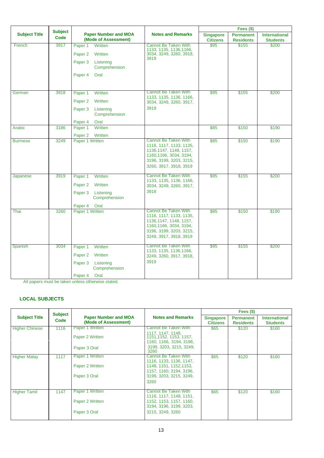|                      | <b>Subject</b> |                                                     |                                                                                                                                                                   | Fees (\$)                           |                                      |                                         |  |
|----------------------|----------------|-----------------------------------------------------|-------------------------------------------------------------------------------------------------------------------------------------------------------------------|-------------------------------------|--------------------------------------|-----------------------------------------|--|
| <b>Subject Title</b> | Code           | <b>Paper Number and MOA</b><br>(Mode of Assessment) | <b>Notes and Remarks</b>                                                                                                                                          | <b>Singapore</b><br><b>Citizens</b> | <b>Permanent</b><br><b>Residents</b> | <b>International</b><br><b>Students</b> |  |
| French               | 3917           | Written<br>Paper 1                                  | <b>Cannot Be Taken With</b>                                                                                                                                       | \$95                                | \$155                                | \$200                                   |  |
|                      |                | Paper <sub>2</sub><br>Written                       | 1133, 1135, 1136, 1166,<br>3034, 3249, 3260, 3918,<br>3919                                                                                                        |                                     |                                      |                                         |  |
|                      |                | Paper <sub>3</sub><br>Listening<br>Comprehension    |                                                                                                                                                                   |                                     |                                      |                                         |  |
|                      |                | Paper <sub>4</sub><br>Oral                          |                                                                                                                                                                   |                                     |                                      |                                         |  |
| German               | 3918           | Written<br>Paper 1                                  | <b>Cannot Be Taken With</b>                                                                                                                                       | \$95                                | \$155                                | \$200                                   |  |
|                      |                | Paper <sub>2</sub><br>Written                       | 1133, 1135, 1136, 1166,<br>3034, 3249, 3260, 3917,                                                                                                                |                                     |                                      |                                         |  |
|                      |                | Paper 3<br>Listening<br>Comprehension               | 3919                                                                                                                                                              |                                     |                                      |                                         |  |
|                      |                | Paper 4<br>Oral                                     |                                                                                                                                                                   |                                     |                                      |                                         |  |
| Arabic               | 3186           | <b>Written</b><br>Paper 1                           |                                                                                                                                                                   | \$85                                | \$150                                | \$190                                   |  |
|                      | 3249           | Paper <sub>2</sub><br>Written<br>Paper 1 Written    | <b>Cannot Be Taken With</b>                                                                                                                                       | \$85                                | \$150                                | \$190                                   |  |
| <b>Burmese</b>       |                |                                                     | 1116, 1117, 1133, 1135,<br>1136, 1147, 1148, 1157,<br>1160, 1166, 3034, 3194,<br>3196, 3199, 3203, 3215,<br>3260, 3917, 3918, 3919                                |                                     |                                      |                                         |  |
| Japanese             | 3919           | Written<br>Paper 1<br>Paper <sub>2</sub><br>Written | <b>Cannot Be Taken With</b><br>1133, 1135, 1136, 1166,<br>3034, 3249, 3260, 3917,                                                                                 | \$95                                | \$155                                | \$200                                   |  |
|                      |                | Paper 3<br>Listening<br>Comprehension               | 3918                                                                                                                                                              |                                     |                                      |                                         |  |
|                      |                | Paper 4<br>Oral                                     |                                                                                                                                                                   |                                     |                                      |                                         |  |
| Thai                 | 3260           | Paper 1 Written                                     | <b>Cannot Be Taken With</b><br>1116, 1117, 1133, 1135,<br>1136, 1147, 1148, 1157,<br>1160, 1166, 3034, 3194,<br>3196, 3199, 3203, 3215,<br>3249, 3917, 3918, 3919 | \$85                                | \$150                                | \$190                                   |  |
| Spanish              | 3034           | Written<br>Paper 1                                  | <b>Cannot Be Taken With</b><br>1133, 1135, 1136, 1166,                                                                                                            | \$95                                | \$155                                | \$200                                   |  |
|                      |                | Paper <sub>2</sub><br>Written                       | 3249, 3260, 3917, 3918,                                                                                                                                           |                                     |                                      |                                         |  |
|                      |                | Paper <sub>3</sub><br>Listening<br>Comprehension    | 3919                                                                                                                                                              |                                     |                                      |                                         |  |
|                      |                | Oral<br>Paper 4                                     |                                                                                                                                                                   |                                     |                                      |                                         |  |

#### **LOCAL SUBJECTS**

|                       | <b>Subject</b> |                                                     |                                                                               | Fees $($ \$)                        |                                      |                                         |  |
|-----------------------|----------------|-----------------------------------------------------|-------------------------------------------------------------------------------|-------------------------------------|--------------------------------------|-----------------------------------------|--|
| <b>Subject Title</b>  | Code           | <b>Paper Number and MOA</b><br>(Mode of Assessment) | <b>Notes and Remarks</b>                                                      | <b>Singapore</b><br><b>Citizens</b> | <b>Permanent</b><br><b>Residents</b> | <b>International</b><br><b>Students</b> |  |
| <b>Higher Chinese</b> | 1116           | Paper 1 Written                                     | <b>Cannot Be Taken With</b>                                                   | \$65                                | \$120                                | \$160                                   |  |
|                       |                | Paper 2 Written                                     | 1117, 1147, 1148,<br>1151, 1152, 1153, 1157,<br>1160, 1166, 3194, 3196,       |                                     |                                      |                                         |  |
|                       |                | Paper 3 Oral                                        | 3199, 3203, 3215, 3249,<br>3260                                               |                                     |                                      |                                         |  |
| <b>Higher Malay</b>   | 1117           | Paper 1 Written                                     | Cannot Be Taken With                                                          | \$65                                | \$120                                | \$160                                   |  |
|                       |                | Paper 2 Written                                     | 1116, 1133, 1136, 1147,<br>1148, 1151, 1152, 1153,<br>1157, 1160, 3194, 3196, |                                     |                                      |                                         |  |
|                       |                | Paper 3 Oral                                        | 3199, 3203, 3215, 3249.<br>3260                                               |                                     |                                      |                                         |  |
| <b>Higher Tamil</b>   | 1147           | Paper 1 Written                                     | <b>Cannot Be Taken With</b><br>1116, 1117, 1148, 1151,                        | \$65                                | \$120                                | \$160                                   |  |
|                       |                | Paper 2 Written                                     | 1152, 1153, 1157, 1160,<br>3194, 3196, 3199, 3203,                            |                                     |                                      |                                         |  |
|                       |                | Paper 3 Oral                                        | 3215, 3249, 3260                                                              |                                     |                                      |                                         |  |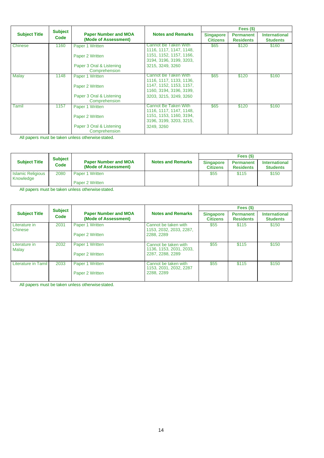|                      | <b>Subject</b> |                                                     |                                                    |                                     | Fees $($ \$)                         |                                         |  |  |
|----------------------|----------------|-----------------------------------------------------|----------------------------------------------------|-------------------------------------|--------------------------------------|-----------------------------------------|--|--|
| <b>Subject Title</b> | Code           | <b>Paper Number and MOA</b><br>(Mode of Assessment) | <b>Notes and Remarks</b>                           | <b>Singapore</b><br><b>Citizens</b> | <b>Permanent</b><br><b>Residents</b> | <b>International</b><br><b>Students</b> |  |  |
| Chinese              | 1160           | Paper 1 Written                                     | Cannot Be Taken With<br>1116, 1117, 1147, 1148,    | \$65                                | \$120                                | \$160                                   |  |  |
|                      |                | Paper 2 Written                                     | 1151, 1152, 1157, 1166,<br>3194, 3196, 3199, 3203, |                                     |                                      |                                         |  |  |
|                      |                | Paper 3 Oral & Listening<br>Comprehension           | 3215, 3249, 3260                                   |                                     |                                      |                                         |  |  |
| Malay                | 1148           | Paper 1 Written                                     | Cannot Be Taken With<br>1116, 1117, 1133, 1136,    | \$65                                | \$120                                | \$160                                   |  |  |
|                      |                | Paper 2 Written                                     | 1147, 1152, 1153, 1157,<br>1160, 3194, 3196, 3199, |                                     |                                      |                                         |  |  |
|                      |                | Paper 3 Oral & Listening<br>Comprehension           | 3203, 3215, 3249, 3260                             |                                     |                                      |                                         |  |  |
| Tamil                | 1157           | Paper 1 Written                                     | Cannot Be Taken With<br>1116, 1117, 1147, 1148,    | \$65                                | \$120                                | \$160                                   |  |  |
|                      |                | Paper 2 Written                                     | 1151, 1153, 1160, 3194,<br>3196, 3199, 3203, 3215, |                                     |                                      |                                         |  |  |
|                      |                | Paper 3 Oral & Listening<br>Comprehension           | 3249, 3260                                         |                                     |                                      |                                         |  |  |

| <b>Subject Title</b>                  | <b>Subject</b><br>Code | <b>Paper Number and MOA</b><br>(Mode of Assessment) | <b>Notes and Remarks</b> | Fees (\$)                           |                               |                                         |  |
|---------------------------------------|------------------------|-----------------------------------------------------|--------------------------|-------------------------------------|-------------------------------|-----------------------------------------|--|
|                                       |                        |                                                     |                          | <b>Singapore</b><br><b>Citizens</b> | Permanent<br><b>Residents</b> | <b>International</b><br><b>Students</b> |  |
| <b>Islamic Religious</b><br>Knowledge | 2080                   | Paper 1 Written<br>Paper 2 Written                  |                          | \$55                                | \$115                         | \$150                                   |  |

All papers must be taken unless otherwisestated.

|                          | <b>Subject</b><br>Code | <b>Paper Number and MOA</b><br>(Mode of Assessment) |                                                                     | Fees $(§)$                          |                                      |                                         |  |
|--------------------------|------------------------|-----------------------------------------------------|---------------------------------------------------------------------|-------------------------------------|--------------------------------------|-----------------------------------------|--|
| <b>Subject Title</b>     |                        |                                                     | <b>Notes and Remarks</b>                                            | <b>Singapore</b><br><b>Citizens</b> | <b>Permanent</b><br><b>Residents</b> | <b>International</b><br><b>Students</b> |  |
| Literature in<br>Chinese | 2031                   | Paper 1 Written<br>Paper 2 Written                  | Cannot be taken with<br>1153, 2032, 2033, 2287,<br>2288, 2289       | \$55                                | \$115                                | \$150                                   |  |
| Literature in<br>Malay   | 2032                   | Paper 1 Written<br>Paper 2 Written                  | Cannot be taken with<br>1136, 1153, 2031, 2033,<br>2287, 2288, 2289 | \$55                                | \$115                                | \$150                                   |  |
| Literature in Tamil      | 2033                   | Paper 1 Written<br>Paper 2 Written                  | Cannot be taken with<br>1153, 2031, 2032, 2287<br>2288, 2289        | \$55                                | \$115                                | \$150                                   |  |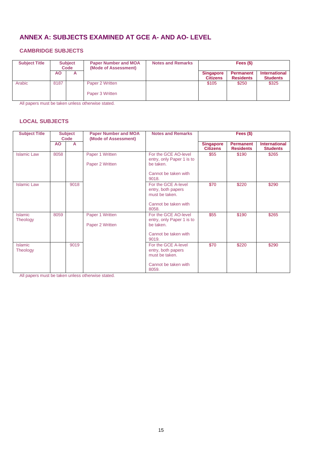## <span id="page-16-0"></span>**ANNEX A: SUBJECTS EXAMINED AT GCE A- AND AO- LEVEL**

#### **CAMBRIDGE SUBJECTS**

| <b>Subject Title</b> |      | <b>Subject</b><br>Code | <b>Paper Number and MOA</b><br>(Mode of Assessment) | <b>Notes and Remarks</b> | Fees $(§)$                   |                               |                                         |
|----------------------|------|------------------------|-----------------------------------------------------|--------------------------|------------------------------|-------------------------------|-----------------------------------------|
|                      | ΑO   | A                      |                                                     |                          | Singapore<br><b>Citizens</b> | Permanent<br><b>Residents</b> | <b>International</b><br><b>Students</b> |
| Arabic               | 8187 |                        | Paper 2 Written<br>Paper 3 Written                  |                          | \$105                        | \$250                         | \$325                                   |

All papers must be taken unless otherwise stated.

#### **LOCAL SUBJECTS**

| <b>Subject Title</b> | <b>Subject</b><br>Code |      | <b>Paper Number and MOA</b><br>(Mode of Assessment) | <b>Notes and Remarks</b>                                                                        | Fees $($)$                          |                                      |                                         |  |
|----------------------|------------------------|------|-----------------------------------------------------|-------------------------------------------------------------------------------------------------|-------------------------------------|--------------------------------------|-----------------------------------------|--|
|                      | AO                     | A    |                                                     |                                                                                                 | <b>Singapore</b><br><b>Citizens</b> | <b>Permanent</b><br><b>Residents</b> | <b>International</b><br><b>Students</b> |  |
| <b>Islamic Law</b>   | 8058                   |      | Paper 1 Written<br>Paper 2 Written                  | For the GCE AO-level<br>entry, only Paper 1 is to<br>be taken.<br>Cannot be taken with<br>9018. | \$55                                | \$190                                | \$265                                   |  |
| <b>Islamic Law</b>   |                        | 9018 |                                                     | For the GCE A-level<br>entry, both papers<br>must be taken.<br>Cannot be taken with<br>8058.    | \$70                                | \$220                                | \$290                                   |  |
| Islamic<br>Theology  | 8059                   |      | Paper 1 Written<br>Paper 2 Written                  | For the GCE AO-level<br>entry, only Paper 1 is to<br>be taken.<br>Cannot be taken with<br>9019. | \$55                                | \$190                                | \$265                                   |  |
| Islamic<br>Theology  |                        | 9019 |                                                     | For the GCE A-level<br>entry, both papers<br>must be taken.<br>Cannot be taken with<br>8059.    | \$70                                | \$220                                | \$290                                   |  |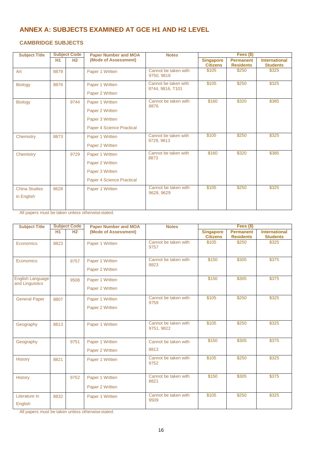## <span id="page-17-0"></span>**ANNEX A: SUBJECTS EXAMINED AT GCE H1 AND H2 LEVEL**

#### **CAMBRIDGE SUBJECTS**

| <b>Subject Title</b> | <b>Subject Code</b> |                | <b>Paper Number and MOA</b> | <b>Notes</b>                             |                                     | Fees $($)$                           |                                         |
|----------------------|---------------------|----------------|-----------------------------|------------------------------------------|-------------------------------------|--------------------------------------|-----------------------------------------|
|                      | <b>H1</b>           | H <sub>2</sub> | (Mode of Assessment)        |                                          | <b>Singapore</b><br><b>Citizens</b> | <b>Permanent</b><br><b>Residents</b> | <b>International</b><br><b>Students</b> |
| Art                  | 8879                |                | Paper 1 Written             | Cannot be taken with<br>9750, 9818       | \$105                               | \$250                                | \$325                                   |
| <b>Biology</b>       | 8876                |                | Paper 1 Written             | Cannot be taken with<br>9744, 9816, T101 | \$105                               | \$250                                | \$325                                   |
|                      |                     |                | Paper 2 Written             |                                          |                                     |                                      |                                         |
| <b>Biology</b>       |                     | 9744           | Paper 1 Written             | Cannot be taken with<br>8876             | \$160                               | \$320                                | \$385                                   |
|                      |                     |                | Paper 2 Written             |                                          |                                     |                                      |                                         |
|                      |                     |                | Paper 3 Written             |                                          |                                     |                                      |                                         |
|                      |                     |                | Paper 4 Science Practical   |                                          |                                     |                                      |                                         |
| Chemistry            | 8873                |                | Paper 1 Written             | Cannot be taken with<br>9729, 9813       | \$105                               | \$250                                | \$325                                   |
|                      |                     |                | Paper 2 Written             |                                          |                                     |                                      |                                         |
| Chemistry            |                     | 9729           | Paper 1 Written             | Cannot be taken with<br>8873             | \$160                               | \$320                                | \$385                                   |
|                      |                     |                | Paper 2 Written             |                                          |                                     |                                      |                                         |
|                      |                     |                | Paper 3 Written             |                                          |                                     |                                      |                                         |
|                      |                     |                | Paper 4 Science Practical   |                                          |                                     |                                      |                                         |
| <b>China Studies</b> | 8628                |                | Paper 1 Written             | Cannot be taken with<br>9628, 9629       | \$105                               | \$250                                | \$325                                   |
| in English           |                     |                |                             |                                          |                                     |                                      |                                         |

All papers must be taken unless otherwisestated.

| <b>Subject Title</b>                |                | <b>Subject Code</b> | <b>Paper Number and MOA</b>        | <b>Notes</b>                       |                                     | Fees (\$)                            |                                         |
|-------------------------------------|----------------|---------------------|------------------------------------|------------------------------------|-------------------------------------|--------------------------------------|-----------------------------------------|
|                                     | H <sub>1</sub> | H <sub>2</sub>      | (Mode of Assessment)               |                                    | <b>Singapore</b><br><b>Citizens</b> | <b>Permanent</b><br><b>Residents</b> | <b>International</b><br><b>Students</b> |
| Economics                           | 8823           |                     | Paper 1 Written                    | Cannot be taken with<br>9757       | \$105                               | \$250                                | \$325                                   |
| Economics                           |                | 9757                | Paper 1 Written<br>Paper 2 Written | Cannot be taken with<br>8823       | \$150                               | \$305                                | \$375                                   |
| English Language<br>and Linguistics |                | 9508                | Paper 1 Written<br>Paper 2 Written |                                    | \$150                               | \$305                                | \$375                                   |
| <b>General Paper</b>                | 8807           |                     | Paper 1 Written<br>Paper 2 Written | Cannot be taken with<br>9759       | \$105                               | \$250                                | \$325                                   |
| Geography                           | 8813           |                     | Paper 1 Written                    | Cannot be taken with<br>9751, 9822 | \$105                               | \$250                                | \$325                                   |
| Geography                           |                | 9751                | Paper 1 Written<br>Paper 2 Written | Cannot be taken with<br>8813       | \$150                               | \$305                                | \$375                                   |
| <b>History</b>                      | 8821           |                     | Paper 1 Written                    | Cannot be taken with<br>9752       | \$105                               | \$250                                | \$325                                   |
| <b>History</b>                      |                | 9752                | Paper 1 Written<br>Paper 2 Written | Cannot be taken with<br>8821       | \$150                               | \$305                                | \$375                                   |
| Literature in<br>English            | 8832           |                     | Paper 1 Written                    | Cannot be taken with<br>9509       | \$105                               | \$250                                | \$325                                   |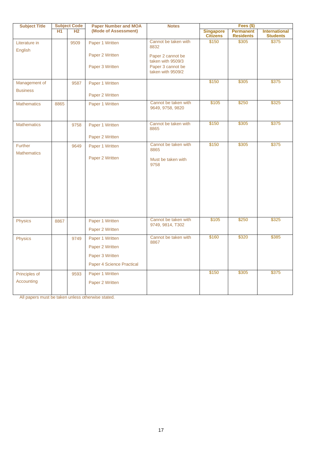| <b>Subject Title</b>     | <b>Subject Code</b> |      | <b>Paper Number and MOA</b>        | <b>Notes</b>                             | Fees $($)$                          |                                      |                                         |  |
|--------------------------|---------------------|------|------------------------------------|------------------------------------------|-------------------------------------|--------------------------------------|-----------------------------------------|--|
|                          | <b>H1</b>           | H2   | (Mode of Assessment)               |                                          | <b>Singapore</b><br><b>Citizens</b> | <b>Permanent</b><br><b>Residents</b> | <b>International</b><br><b>Students</b> |  |
| Literature in<br>English |                     | 9509 | Paper 1 Written                    | Cannot be taken with<br>8832             | \$150                               | \$305                                | \$375                                   |  |
|                          |                     |      | Paper 2 Written                    | Paper 2 cannot be<br>taken with 9509/3   |                                     |                                      |                                         |  |
|                          |                     |      | Paper 3 Written                    | Paper 3 cannot be<br>taken with 9509/2   |                                     |                                      |                                         |  |
| Management of            |                     | 9587 | Paper 1 Written                    |                                          | \$150                               | \$305                                | \$375                                   |  |
| <b>Business</b>          |                     |      | Paper 2 Written                    |                                          |                                     |                                      |                                         |  |
| <b>Mathematics</b>       | 8865                |      | Paper 1 Written                    | Cannot be taken with<br>9649, 9758, 9820 | \$105                               | \$250                                | \$325                                   |  |
| <b>Mathematics</b>       |                     | 9758 | Paper 1 Written                    | Cannot be taken with<br>8865             | \$150                               | \$305                                | \$375                                   |  |
| <b>Further</b>           |                     | 9649 | Paper 2 Written<br>Paper 1 Written | Cannot be taken with                     | \$150                               | \$305                                | \$375                                   |  |
| <b>Mathematics</b>       |                     |      |                                    | 8865                                     |                                     |                                      |                                         |  |
|                          |                     |      | Paper 2 Written                    | Must be taken with<br>9758               |                                     |                                      |                                         |  |
|                          |                     |      |                                    |                                          |                                     |                                      |                                         |  |
| <b>Physics</b>           | 8867                |      | Paper 1 Written<br>Paper 2 Written | Cannot be taken with<br>9749, 9814, T302 | \$105                               | \$250                                | \$325                                   |  |
| Physics                  |                     | 9749 | Paper 1 Written                    | Cannot be taken with<br>8867             | \$160                               | \$320                                | \$385                                   |  |
|                          |                     |      | Paper 2 Written                    |                                          |                                     |                                      |                                         |  |
|                          |                     |      | Paper 3 Written                    |                                          |                                     |                                      |                                         |  |
|                          |                     |      | Paper 4 Science Practical          |                                          |                                     |                                      |                                         |  |
| Principles of            |                     | 9593 | Paper 1 Written                    |                                          | \$150                               | \$305                                | \$375                                   |  |
| Accounting               |                     |      | Paper 2 Written                    |                                          |                                     |                                      |                                         |  |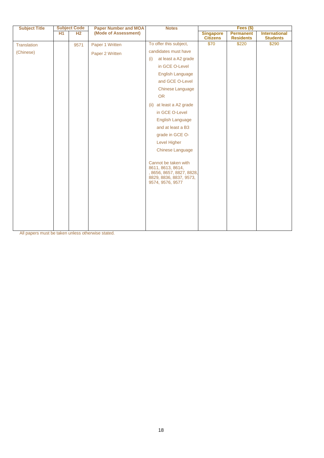| <b>Subject Title</b><br><b>Subject Code</b> |                | <b>Paper Number and MOA</b> | <b>Notes</b>                                                                             | Fees (\$)                           |                                      |                                         |  |
|---------------------------------------------|----------------|-----------------------------|------------------------------------------------------------------------------------------|-------------------------------------|--------------------------------------|-----------------------------------------|--|
| H <sub>1</sub>                              | H <sub>2</sub> | (Mode of Assessment)        |                                                                                          | <b>Singapore</b><br><b>Citizens</b> | <b>Permanent</b><br><b>Residents</b> | <b>International</b><br><b>Students</b> |  |
|                                             | 9571           | Paper 1 Written             | To offer this subject,                                                                   | \$70                                | \$220                                | \$290                                   |  |
|                                             |                | Paper 2 Written             | candidates must have                                                                     |                                     |                                      |                                         |  |
|                                             |                |                             | at least a A2 grade<br>(i)                                                               |                                     |                                      |                                         |  |
|                                             |                |                             | in GCE O-Level                                                                           |                                     |                                      |                                         |  |
|                                             |                |                             | <b>English Language</b>                                                                  |                                     |                                      |                                         |  |
|                                             |                |                             | and GCE O-Level                                                                          |                                     |                                      |                                         |  |
|                                             |                |                             | <b>Chinese Language</b>                                                                  |                                     |                                      |                                         |  |
|                                             |                |                             | <b>OR</b>                                                                                |                                     |                                      |                                         |  |
|                                             |                |                             | at least a A2 grade<br>(ii)                                                              |                                     |                                      |                                         |  |
|                                             |                |                             | in GCE O-Level                                                                           |                                     |                                      |                                         |  |
|                                             |                |                             | English Language                                                                         |                                     |                                      |                                         |  |
|                                             |                |                             | and at least a B3                                                                        |                                     |                                      |                                         |  |
|                                             |                |                             | grade in GCE O-                                                                          |                                     |                                      |                                         |  |
|                                             |                |                             | <b>Level Higher</b>                                                                      |                                     |                                      |                                         |  |
|                                             |                |                             | Chinese Language                                                                         |                                     |                                      |                                         |  |
|                                             |                |                             | Cannot be taken with<br>8611, 8613, 8614,<br>8829, 8836, 8837, 9573,<br>9574, 9576, 9577 |                                     |                                      |                                         |  |
|                                             |                |                             |                                                                                          |                                     | , 8656, 8657, 8827, 8828,            |                                         |  |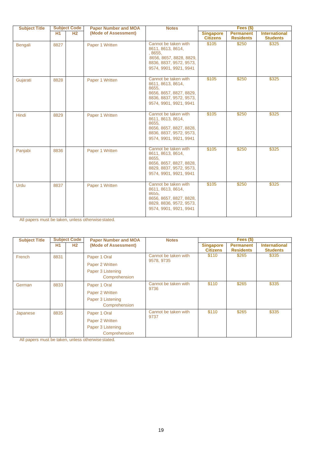| <b>Subject Title</b> |      | <b>Subject Code</b> | <b>Paper Number and MOA</b> | <b>Notes</b>                                                                                                                         |                                     | Fees $($)$                           |                                         |
|----------------------|------|---------------------|-----------------------------|--------------------------------------------------------------------------------------------------------------------------------------|-------------------------------------|--------------------------------------|-----------------------------------------|
|                      | H1   | H <sub>2</sub>      | (Mode of Assessment)        |                                                                                                                                      | <b>Singapore</b><br><b>Citizens</b> | <b>Permanent</b><br><b>Residents</b> | <b>International</b><br><b>Students</b> |
| Bengali              | 8827 |                     | Paper 1 Written             | Cannot be taken with<br>8611, 8613, 8614,<br>, 8655,<br>8656, 8657, 8828, 8829,<br>8836, 8837, 9572, 9573,<br>9574, 9901, 9921, 9941 | \$105                               | \$250                                | \$325                                   |
| Gujarati             | 8828 |                     | Paper 1 Written             | Cannot be taken with<br>8611, 8613, 8614,<br>8655,<br>8656, 8657, 8827, 8829,<br>8836, 8837, 9572, 9573,<br>9574, 9901, 9921, 9941   | \$105                               | \$250                                | \$325                                   |
| Hindi                | 8829 |                     | Paper 1 Written             | Cannot be taken with<br>8611, 8613, 8614,<br>8655,<br>8656, 8657, 8827, 8828,<br>8836, 8837, 9572, 9573,<br>9574, 9901, 9921, 9941   | \$105                               | \$250                                | \$325                                   |
| Panjabi              | 8836 |                     | Paper 1 Written             | Cannot be taken with<br>8611, 8613, 8614,<br>8655.<br>8656, 8657, 8827, 8828,<br>8829, 8837, 9572, 9573,<br>9574, 9901, 9921, 9941   | \$105                               | \$250                                | \$325                                   |
| Urdu                 | 8837 |                     | Paper 1 Written             | Cannot be taken with<br>8611, 8613, 8614,<br>8655,<br>8656, 8657, 8827, 8828,<br>8829, 8836, 9572, 9573,<br>9574, 9901, 9921, 9941   | \$105                               | \$250                                | \$325                                   |

| <b>Subject Title</b> |      | <b>Subject Code</b> | <b>Paper Number and MOA</b> | <b>Notes</b>                       | Fees $($)$                          |                                      |                                         |
|----------------------|------|---------------------|-----------------------------|------------------------------------|-------------------------------------|--------------------------------------|-----------------------------------------|
|                      | H1   | H <sub>2</sub>      | (Mode of Assessment)        |                                    | <b>Singapore</b><br><b>Citizens</b> | <b>Permanent</b><br><b>Residents</b> | <b>International</b><br><b>Students</b> |
| French               | 8831 |                     | Paper 1 Oral                | Cannot be taken with<br>9578, 9735 | \$110                               | \$265                                | \$335                                   |
|                      |      |                     | Paper 2 Written             |                                    |                                     |                                      |                                         |
|                      |      |                     | Paper 3 Listening           |                                    |                                     |                                      |                                         |
|                      |      |                     | Comprehension               |                                    |                                     |                                      |                                         |
| German               | 8833 |                     | Paper 1 Oral                | Cannot be taken with<br>9736       | \$110<br>\$265                      |                                      | \$335                                   |
|                      |      |                     | Paper 2 Written             |                                    |                                     |                                      |                                         |
|                      |      |                     | Paper 3 Listening           |                                    |                                     |                                      |                                         |
|                      |      |                     | Comprehension               |                                    |                                     |                                      |                                         |
| Japanese             | 8835 |                     | Paper 1 Oral                | Cannot be taken with<br>9737       | \$110                               | \$265                                | \$335                                   |
|                      |      |                     | Paper 2 Written             |                                    |                                     |                                      |                                         |
|                      |      |                     |                             | Paper 3 Listening                  |                                     |                                      |                                         |
|                      |      |                     | Comprehension               |                                    |                                     |                                      |                                         |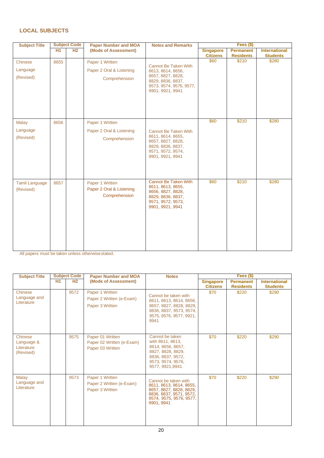#### **LOCAL SUBJECTS**

| <b>Subject Title</b>                  |                | <b>Subject Code</b><br><b>Paper Number and MOA</b><br><b>Notes and Remarks</b> |                                                              |                                                                                                                                     | Fees (\$)        |                  |                      |  |
|---------------------------------------|----------------|--------------------------------------------------------------------------------|--------------------------------------------------------------|-------------------------------------------------------------------------------------------------------------------------------------|------------------|------------------|----------------------|--|
|                                       | H <sub>1</sub> | H <sub>2</sub>                                                                 | (Mode of Assessment)                                         |                                                                                                                                     | <b>Singapore</b> | <b>Permanent</b> | <b>International</b> |  |
|                                       |                |                                                                                |                                                              |                                                                                                                                     | <b>Citizens</b>  | <b>Residents</b> | <b>Students</b>      |  |
| Chinese<br>Language<br>(Revised)      | 8655           |                                                                                | Paper 1 Written<br>Paper 2 Oral & Listening<br>Comprehension | Cannot Be Taken With<br>8613, 8614, 8656,<br>8657, 8827, 8828,<br>8829, 8836, 8837,<br>9573, 9574, 9576, 9577,<br>9901, 9921, 9941  | \$60             | \$210            | \$280                |  |
| <b>Malay</b><br>Language<br>(Revised) | 8656           |                                                                                | Paper 1 Written<br>Paper 2 Oral & Listening<br>Comprehension | Cannot Be Taken With<br>8611, 8614, 8655,<br>8657, 8827, 8828,<br>8829, 8836, 8837,<br>9571, 9572, 9574,<br>9901, 9921, 9941        | \$60             | \$210            | \$280                |  |
| <b>Tamil Language</b><br>(Revised)    | 8657           |                                                                                | Paper 1 Written<br>Paper 2 Oral & Listening<br>Comprehension | <b>Cannot Be Taken With</b><br>8611, 8613, 8655,<br>8656, 8827, 8828,<br>8829, 8836, 8837,<br>9571, 9572, 9573,<br>9901, 9921, 9941 | \$60             | \$210            | \$280                |  |

| <b>Subject Code</b><br><b>Subject Title</b>      |    |                | <b>Paper Number and MOA</b>                                       | <b>Notes</b>                                                                                                                                   | Fees $($)$                          |                                      |                                         |  |
|--------------------------------------------------|----|----------------|-------------------------------------------------------------------|------------------------------------------------------------------------------------------------------------------------------------------------|-------------------------------------|--------------------------------------|-----------------------------------------|--|
|                                                  | H1 | H <sub>2</sub> | (Mode of Assessment)                                              |                                                                                                                                                | <b>Singapore</b><br><b>Citizens</b> | <b>Permanent</b><br><b>Residents</b> | <b>International</b><br><b>Students</b> |  |
| Chinese<br>Language and<br>Literature            |    | 9572           | Paper 1 Written<br>Paper 2 Written (e-Exam)<br>Paper 3 Written    | Cannot be taken with<br>8611, 8613, 8614, 8656,<br>8657, 8827, 8828, 8829,<br>8836, 8837, 9573, 9574,<br>9575, 9576, 9577, 9921,<br>9941       | \$70                                | \$220                                | \$290                                   |  |
| Chinese<br>Language &<br>Literature<br>(Revised) |    | 9575           | Paper 01 Written<br>Paper 02 Written (e-Exam)<br>Paper 03 Written | Cannot be taken<br>with 8611, 8613,<br>8614, 8656, 8657,<br>8827, 8828, 8829,<br>8836, 8837, 9572,<br>9573, 9574, 9576,<br>9577, 9921, 9941.   | \$70                                | \$220                                | \$290                                   |  |
| Malay<br>Language and<br>Literature              |    | 9573           | Paper 1 Written<br>Paper 2 Written (e-Exam)<br>Paper 3 Written    | Cannot be taken with<br>8611, 8613, 8614, 8655,<br>8657, 8827, 8828, 8829,<br>8836, 8837, 9571, 9572,<br>9574, 9575, 9576, 9577,<br>9901, 9941 | \$70                                | \$220                                | \$290                                   |  |